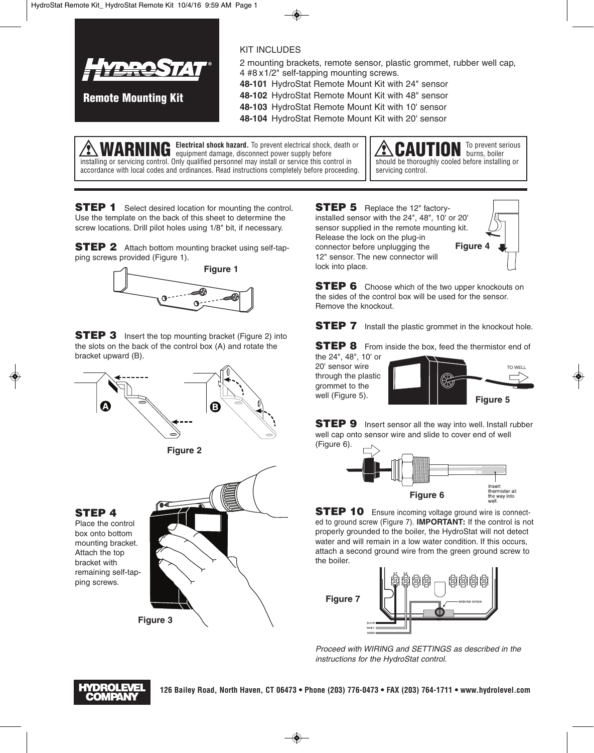

**Remote Mounting Kit**

KIT INCLUDES

2 mounting brackets, remote sensor, plastic grommet, rubber well cap, 4 #8 x1/2" self-tapping mounting screws.

**48-101** HydroStat Remote Mount Kit with 24" sensor

**48-102** HydroStat Remote Mount Kit with 48" sensor

**48-103** HydroStat Remote Mount Kit with 10' sensor **48-104** HydroStat Remote Mount Kit with 20' sensor

**WARNING Electrical shock hazard.** To prevent electrical shock, death or equipment damage, disconnect power supply before installing or servicing control. Only qualified personnel may install or service this control in accordance with local codes and ordinances. Read instructions completely before proceeding.

To prevent serious burns, boiler should be thoroughly cooled before installing or servicing control.

**STEP 1** Select desired location for mounting the control. Use the template on the back of this sheet to determine the screw locations. Drill pilot holes using 1/8" bit, if necessary.

**STEP 2** Attach bottom mounting bracket using self-tapping screws provided (Figure 1).



**STEP 3** Insert the top mounting bracket (Figure 2) into the slots on the back of the control box (A) and rotate the bracket upward (B).





**STEP 4**

Place the control box onto bottom mounting bracket. Attach the top bracket with remaining self-tapping screws.



**STEP 5** Replace the 12" factoryinstalled sensor with the 24", 48", 10' or 20' sensor supplied in the remote mounting kit. Release the lock on the plug-in connector before unplugging the 12" sensor. The new connector will lock into place. **Figure 4**

**STEP 6** Choose which of the two upper knockouts on the sides of the control box will be used for the sensor. Remove the knockout.

**STEP 7** Install the plastic grommet in the knockout hole.

**STEP 8** From inside the box, feed the thermistor end of the 24", 48", 10' or

20' sensor wire through the plastic grommet to the well (Figure 5).



**STEP 9** Insert sensor all the way into well. Install rubber well cap onto sensor wire and slide to cover end of well (Figure 6).



**STEP 10** Ensure incoming voltage ground wire is connected to ground screw (Figure 7). **IMPORTANT:** If the control is not properly grounded to the boiler, the HydroStat will not detect water and will remain in a low water condition. If this occurs, attach a second ground wire from the green ground screw to the boiler.



*Proceed with WIRING and SETTINGS as described in the instructions for the HydroStat control.*